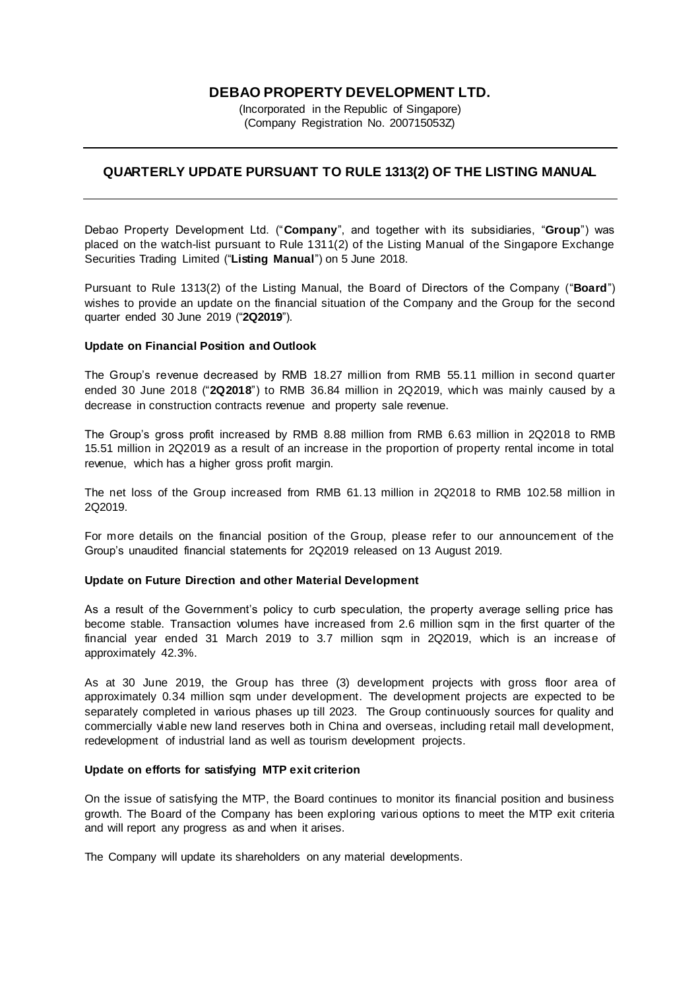# **DEBAO PROPERTY DEVELOPMENT LTD.**

(Incorporated in the Republic of Singapore) (Company Registration No. 200715053Z)

# **QUARTERLY UPDATE PURSUANT TO RULE 1313(2) OF THE LISTING MANUAL**

Debao Property Development Ltd. ("**Company**", and together with its subsidiaries, "**Group**") was placed on the watch-list pursuant to Rule 1311(2) of the Listing Manual of the Singapore Exchange Securities Trading Limited ("**Listing Manual**") on 5 June 2018.

Pursuant to Rule 1313(2) of the Listing Manual, the Board of Directors of the Company ("**Board**") wishes to provide an update on the financial situation of the Company and the Group for the second quarter ended 30 June 2019 ("**2Q2019**").

## **Update on Financial Position and Outlook**

The Group's revenue decreased by RMB 18.27 million from RMB 55.11 million in second quarter ended 30 June 2018 ("**2Q2018**") to RMB 36.84 million in 2Q2019, which was mainly caused by a decrease in construction contracts revenue and property sale revenue.

The Group's gross profit increased by RMB 8.88 million from RMB 6.63 million in 2Q2018 to RMB 15.51 million in 2Q2019 as a result of an increase in the proportion of property rental income in total revenue, which has a higher gross profit margin.

The net loss of the Group increased from RMB 61.13 million in 2Q2018 to RMB 102.58 million in 2Q2019.

For more details on the financial position of the Group, please refer to our announcement of the Group's unaudited financial statements for 2Q2019 released on 13 August 2019.

### **Update on Future Direction and other Material Development**

As a result of the Government's policy to curb speculation, the property average selling price has become stable. Transaction volumes have increased from 2.6 million sqm in the first quarter of the financial year ended 31 March 2019 to 3.7 million sqm in 2Q2019, which is an increase of approximately 42.3%.

As at 30 June 2019, the Group has three (3) development projects with gross floor area of approximately 0.34 million sqm under development. The development projects are expected to be separately completed in various phases up till 2023. The Group continuously sources for quality and commercially viable new land reserves both in China and overseas, including retail mall development, redevelopment of industrial land as well as tourism development projects.

### **Update on efforts for satisfying MTP exit criterion**

On the issue of satisfying the MTP, the Board continues to monitor its financial position and business growth. The Board of the Company has been exploring various options to meet the MTP exit criteria and will report any progress as and when it arises.

The Company will update its shareholders on any material developments.